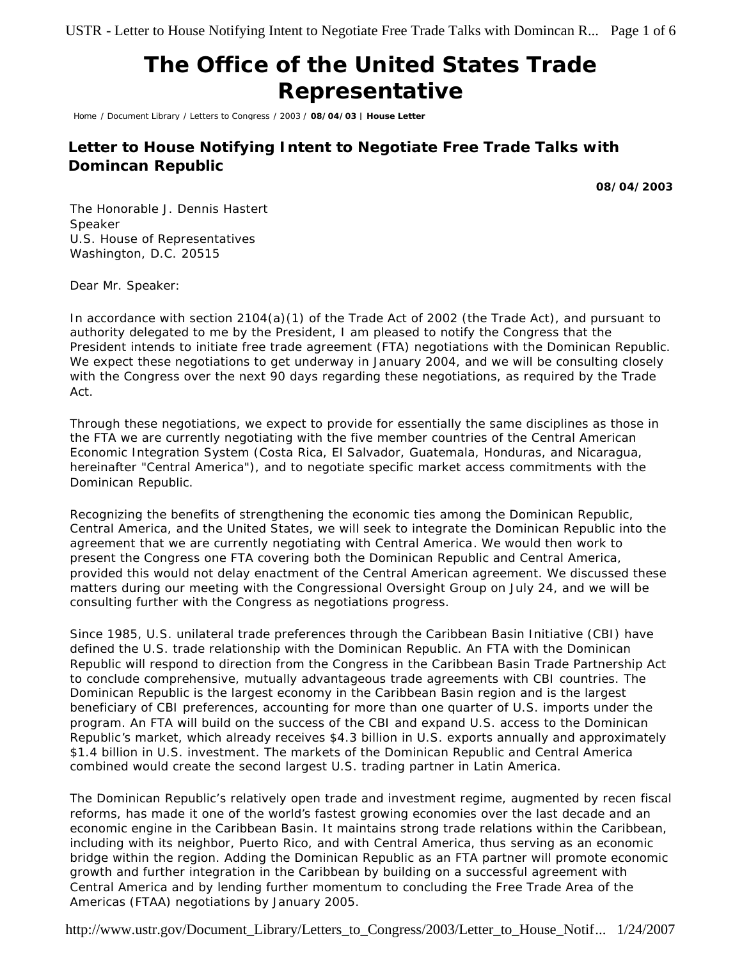USTR - Letter to House Notifying Intent to Negotiate Free Trade Talks with Domincan R... Page 1 of 6

# **The Office of the United States Trade Representative**

Home / Document Library / Letters to Congress / 2003 / **08/04/03 | House Letter**

# **Letter to House Notifying Intent to Negotiate Free Trade Talks with Domincan Republic**

**08/04/2003**

The Honorable J. Dennis Hastert Speaker U.S. House of Representatives Washington, D.C. 20515

Dear Mr. Speaker:

In accordance with section 2104(a)(1) of the Trade Act of 2002 (the Trade Act), and pursuant to authority delegated to me by the President, I am pleased to notify the Congress that the President intends to initiate free trade agreement (FTA) negotiations with the Dominican Republic. We expect these negotiations to get underway in January 2004, and we will be consulting closely with the Congress over the next 90 days regarding these negotiations, as required by the Trade Act.

Through these negotiations, we expect to provide for essentially the same disciplines as those in the FTA we are currently negotiating with the five member countries of the Central American Economic Integration System (Costa Rica, El Salvador, Guatemala, Honduras, and Nicaragua, hereinafter "Central America"), and to negotiate specific market access commitments with the Dominican Republic.

Recognizing the benefits of strengthening the economic ties among the Dominican Republic, Central America, and the United States, we will seek to integrate the Dominican Republic into the agreement that we are currently negotiating with Central America*.* We would then work to present the Congress one FTA covering both the Dominican Republic and Central America, provided this would not delay enactment of the Central American agreement. We discussed these matters during our meeting with the Congressional Oversight Group on July 24, and we will be consulting further with the Congress as negotiations progress.

Since 1985, U.S. unilateral trade preferences through the Caribbean Basin Initiative (CBI) have defined the U.S. trade relationship with the Dominican Republic. An FTA with the Dominican Republic will respond to direction from the Congress in the Caribbean Basin Trade Partnership Act to conclude comprehensive, mutually advantageous trade agreements with CBI countries. The Dominican Republic is the largest economy in the Caribbean Basin region and is the largest beneficiary of CBI preferences, accounting for more than one quarter of U.S. imports under the program. An FTA will build on the success of the CBI and expand U.S. access to the Dominican Republic's market, which already receives \$4.3 billion in U.S. exports annually and approximately \$1.4 billion in U.S. investment. The markets of the Dominican Republic and Central America combined would create the second largest U.S. trading partner in Latin America.

The Dominican Republic's relatively open trade and investment regime, augmented by recen fiscal reforms, has made it one of the world's fastest growing economies over the last decade and an economic engine in the Caribbean Basin. It maintains strong trade relations within the Caribbean, including with its neighbor, Puerto Rico, and with Central America, thus serving as an economic bridge within the region. Adding the Dominican Republic as an FTA partner will promote economic growth and further integration in the Caribbean by building on a successful agreement with Central America and by lending further momentum to concluding the Free Trade Area of the Americas (FTAA) negotiations by January 2005.

http://www.ustr.gov/Document\_Library/Letters\_to\_Congress/2003/Letter\_to\_House\_Notif... 1/24/2007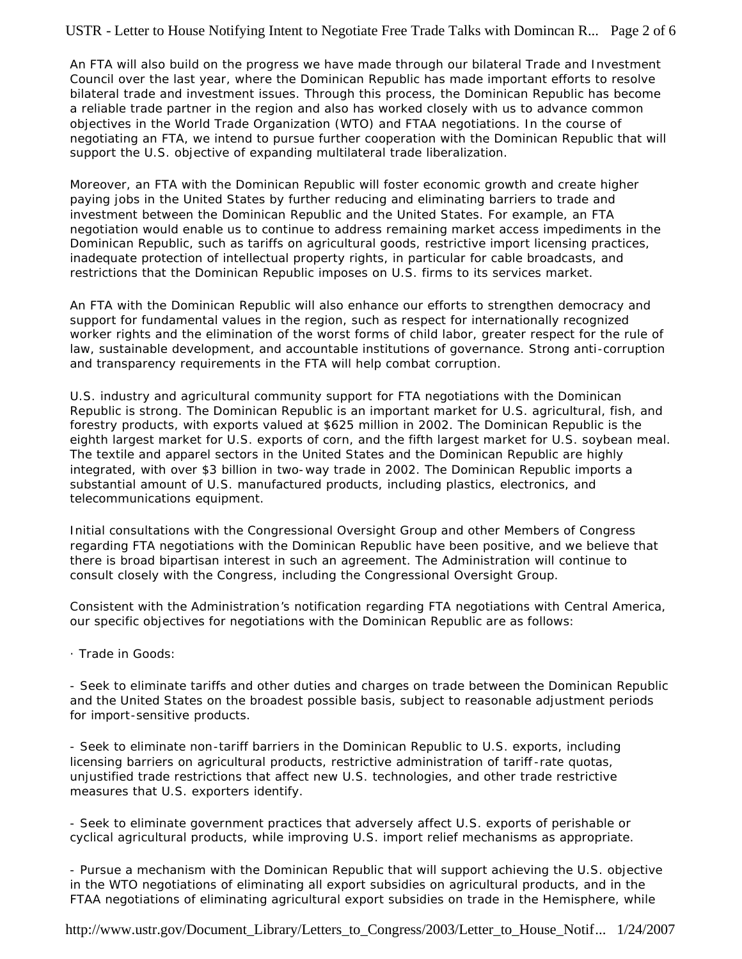An FTA will also build on the progress we have made through our bilateral Trade and Investment Council over the last year, where the Dominican Republic has made important efforts to resolve bilateral trade and investment issues. Through this process, the Dominican Republic has become a reliable trade partner in the region and also has worked closely with us to advance common objectives in the World Trade Organization (WTO) and FTAA negotiations. In the course of negotiating an FTA, we intend to pursue further cooperation with the Dominican Republic that will support the U.S. objective of expanding multilateral trade liberalization.

Moreover, an FTA with the Dominican Republic will foster economic growth and create higher paying jobs in the United States by further reducing and eliminating barriers to trade and investment between the Dominican Republic and the United States. For example, an FTA negotiation would enable us to continue to address remaining market access impediments in the Dominican Republic, such as tariffs on agricultural goods, restrictive import licensing practices, inadequate protection of intellectual property rights, in particular for cable broadcasts, and restrictions that the Dominican Republic imposes on U.S. firms to its services market.

An FTA with the Dominican Republic will also enhance our efforts to strengthen democracy and support for fundamental values in the region, such as respect for internationally recognized worker rights and the elimination of the worst forms of child labor, greater respect for the rule of law, sustainable development, and accountable institutions of governance. Strong anti-corruption and transparency requirements in the FTA will help combat corruption.

U.S. industry and agricultural community support for FTA negotiations with the Dominican Republic is strong. The Dominican Republic is an important market for U.S. agricultural, fish, and forestry products, with exports valued at \$625 million in 2002. The Dominican Republic is the eighth largest market for U.S. exports of corn, and the fifth largest market for U.S. soybean meal. The textile and apparel sectors in the United States and the Dominican Republic are highly integrated, with over \$3 billion in two-way trade in 2002. The Dominican Republic imports a substantial amount of U.S. manufactured products, including plastics, electronics, and telecommunications equipment.

Initial consultations with the Congressional Oversight Group and other Members of Congress regarding FTA negotiations with the Dominican Republic have been positive, and we believe that there is broad bipartisan interest in such an agreement. The Administration will continue to consult closely with the Congress, including the Congressional Oversight Group.

Consistent with the Administration's notification regarding FTA negotiations with Central America, our specific objectives for negotiations with the Dominican Republic are as follows:

· *Trade in Goods*:

- Seek to eliminate tariffs and other duties and charges on trade between the Dominican Republic and the United States on the broadest possible basis, subject to reasonable adjustment periods for import-sensitive products.

- Seek to eliminate non-tariff barriers in the Dominican Republic to U.S. exports, including licensing barriers on agricultural products, restrictive administration of tariff -rate quotas, unjustified trade restrictions that affect new U.S. technologies, and other trade restrictive measures that U.S. exporters identify.

- Seek to eliminate government practices that adversely affect U.S. exports of perishable or cyclical agricultural products, while improving U.S. import relief mechanisms as appropriate.

- Pursue a mechanism with the Dominican Republic that will support achieving the U.S. objective in the WTO negotiations of eliminating all export subsidies on agricultural products, and in the FTAA negotiations of eliminating agricultural export subsidies on trade in the Hemisphere, while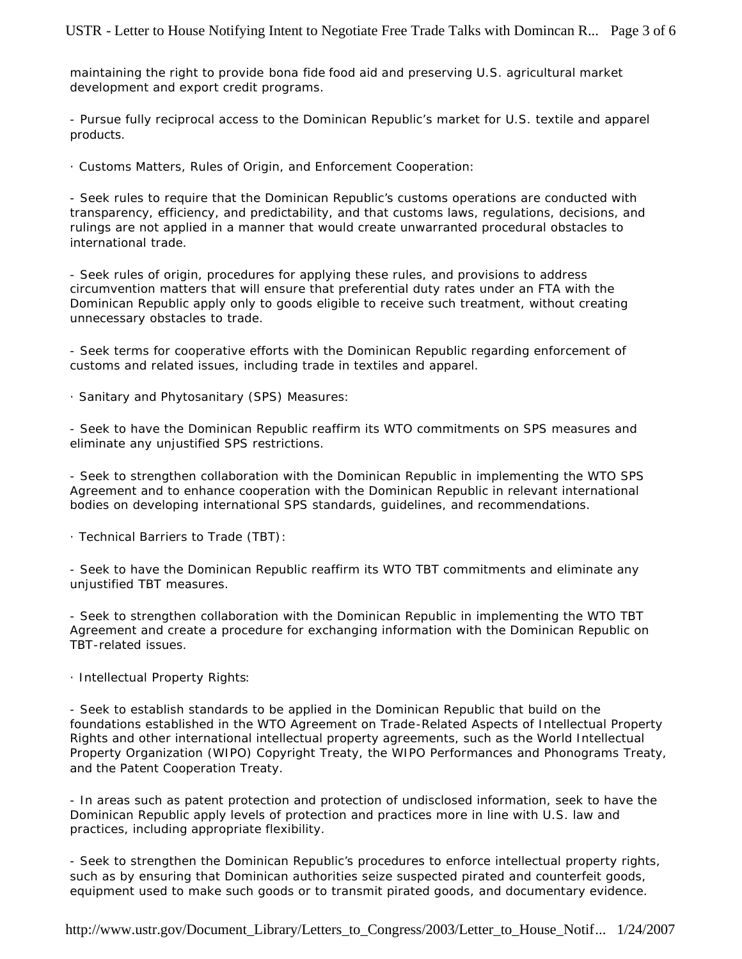maintaining the right to provide *bona fide* food aid and preserving U.S. agricultural market development and export credit programs.

- Pursue fully reciprocal access to the Dominican Republic's market for U.S. textile and apparel products.

· *Customs Matters, Rules of Origin, and Enforcement Cooperation*:

- Seek rules to require that the Dominican Republic's customs operations are conducted with transparency, efficiency, and predictability, and that customs laws, regulations, decisions, and rulings are not applied in a manner that would create unwarranted procedural obstacles to international trade.

- Seek rules of origin, procedures for applying these rules, and provisions to address circumvention matters that will ensure that preferential duty rates under an FTA with the Dominican Republic apply only to goods eligible to receive such treatment, without creating unnecessary obstacles to trade.

- Seek terms for cooperative efforts with the Dominican Republic regarding enforcement of customs and related issues, including trade in textiles and apparel.

· *Sanitary and Phytosanitary (SPS) Measures*:

- Seek to have the Dominican Republic reaffirm its WTO commitments on SPS measures and eliminate any unjustified SPS restrictions.

- Seek to strengthen collaboration with the Dominican Republic in implementing the WTO SPS Agreement and to enhance cooperation with the Dominican Republic in relevant international bodies on developing international SPS standards, guidelines, and recommendations.

· *Technical Barriers to Trade (TBT)*:

- Seek to have the Dominican Republic reaffirm its WTO TBT commitments and eliminate any unjustified TBT measures.

- Seek to strengthen collaboration with the Dominican Republic in implementing the WTO TBT Agreement and create a procedure for exchanging information with the Dominican Republic on TBT-related issues.

## · *Intellectual Property Rights*:

- Seek to establish standards to be applied in the Dominican Republic that build on the foundations established in the WTO Agreement on Trade-Related Aspects of Intellectual Property Rights and other international intellectual property agreements, such as the World Intellectual Property Organization (WIPO) Copyright Treaty, the WIPO Performances and Phonograms Treaty, and the Patent Cooperation Treaty.

- In areas such as patent protection and protection of undisclosed information, seek to have the Dominican Republic apply levels of protection and practices more in line with U.S. law and practices, including appropriate flexibility.

- Seek to strengthen the Dominican Republic's procedures to enforce intellectual property rights, such as by ensuring that Dominican authorities seize suspected pirated and counterfeit goods, equipment used to make such goods or to transmit pirated goods, and documentary evidence.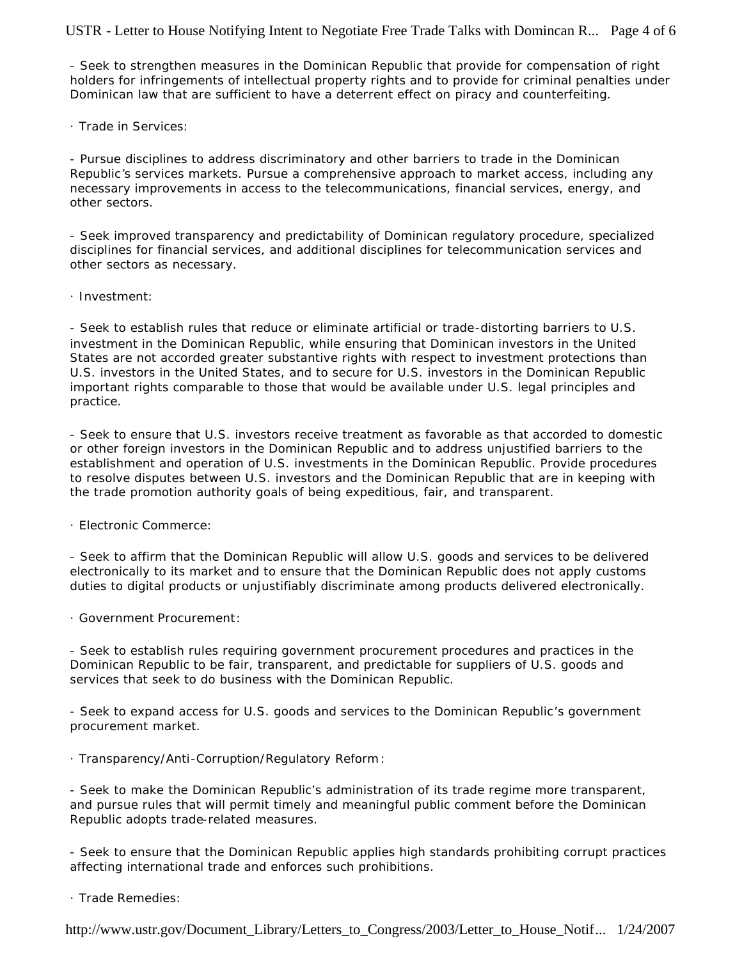- Seek to strengthen measures in the Dominican Republic that provide for compensation of right holders for infringements of intellectual property rights and to provide for criminal penalties under Dominican law that are sufficient to have a deterrent effect on piracy and counterfeiting.

### · *Trade in Services*:

- Pursue disciplines to address discriminatory and other barriers to trade in the Dominican Republic's services markets. Pursue a comprehensive approach to market access, including any necessary improvements in access to the telecommunications, financial services, energy, and other sectors.

- Seek improved transparency and predictability of Dominican regulatory procedure, specialized disciplines for financial services, and additional disciplines for telecommunication services and other sectors as necessary.

### · *Investment*:

- Seek to establish rules that reduce or eliminate artificial or trade-distorting barriers to U.S. investment in the Dominican Republic, while ensuring that Dominican investors in the United States are not accorded greater substantive rights with respect to investment protections than U.S. investors in the United States, and to secure for U.S. investors in the Dominican Republic important rights comparable to those that would be available under U.S. legal principles and practice.

- Seek to ensure that U.S. investors receive treatment as favorable as that accorded to domestic or other foreign investors in the Dominican Republic and to address unjustified barriers to the establishment and operation of U.S. investments in the Dominican Republic. Provide procedures to resolve disputes between U.S. investors and the Dominican Republic that are in keeping with the trade promotion authority goals of being expeditious, fair, and transparent.

· *Electronic Commerce*:

- Seek to affirm that the Dominican Republic will allow U.S. goods and services to be delivered electronically to its market and to ensure that the Dominican Republic does not apply customs duties to digital products or unjustifiably discriminate among products delivered electronically.

· *Government Procurement*:

- Seek to establish rules requiring government procurement procedures and practices in the Dominican Republic to be fair, transparent, and predictable for suppliers of U.S. goods and services that seek to do business with the Dominican Republic.

- Seek to expand access for U.S. goods and services to the Dominican Republic's government procurement market.

· *Transparency/Anti-Corruption/Regulatory Reform*:

- Seek to make the Dominican Republic's administration of its trade regime more transparent, and pursue rules that will permit timely and meaningful public comment before the Dominican Republic adopts trade-related measures.

- Seek to ensure that the Dominican Republic applies high standards prohibiting corrupt practices affecting international trade and enforces such prohibitions.

· *Trade Remedies*:

http://www.ustr.gov/Document\_Library/Letters\_to\_Congress/2003/Letter\_to\_House\_Notif... 1/24/2007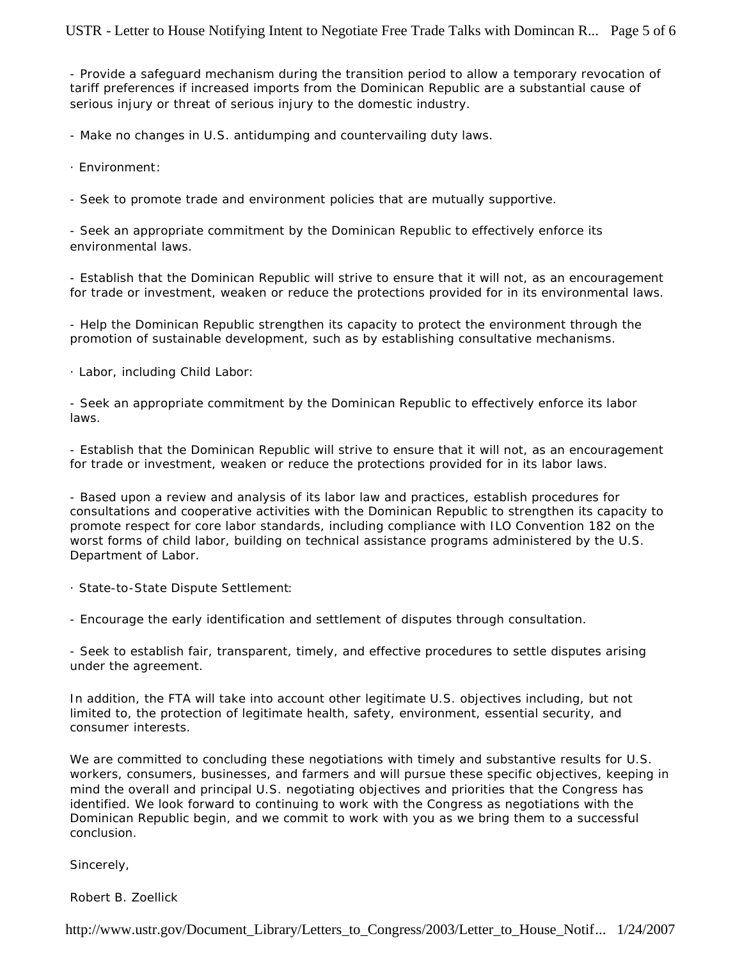- Provide a safeguard mechanism during the transition period to allow a temporary revocation of tariff preferences if increased imports from the Dominican Republic are a substantial cause of serious injury or threat of serious injury to the domestic industry.

- Make no changes in U.S. antidumping and countervailing duty laws.

- · *Environment*:
- Seek to promote trade and environment policies that are mutually supportive.

- Seek an appropriate commitment by the Dominican Republic to effectively enforce its environmental laws.

- Establish that the Dominican Republic will strive to ensure that it will not, as an encouragement for trade or investment, weaken or reduce the protections provided for in its environmental laws.

- Help the Dominican Republic strengthen its capacity to protect the environment through the promotion of sustainable development, such as by establishing consultative mechanisms.

· *Labor, including Child Labor*:

- Seek an appropriate commitment by the Dominican Republic to effectively enforce its labor laws.

- Establish that the Dominican Republic will strive to ensure that it will not, as an encouragement for trade or investment, weaken or reduce the protections provided for in its labor laws.

- Based upon a review and analysis of its labor law and practices, establish procedures for consultations and cooperative activities with the Dominican Republic to strengthen its capacity to promote respect for core labor standards, including compliance with ILO Convention 182 on the worst forms of child labor, building on technical assistance programs administered by the U.S. Department of Labor.

· *State-to-State Dispute Settlement*:

- Encourage the early identification and settlement of disputes through consultation.

- Seek to establish fair, transparent, timely, and effective procedures to settle disputes arising under the agreement.

In addition, the FTA will take into account other legitimate U.S. objectives including, but not limited to, the protection of legitimate health, safety, environment, essential security, and consumer interests.

We are committed to concluding these negotiations with timely and substantive results for U.S. workers, consumers, businesses, and farmers and will pursue these specific objectives, keeping in mind the overall and principal U.S. negotiating objectives and priorities that the Congress has identified. We look forward to continuing to work with the Congress as negotiations with the Dominican Republic begin, and we commit to work with you as we bring them to a successful conclusion.

Sincerely,

Robert B. Zoellick

http://www.ustr.gov/Document\_Library/Letters\_to\_Congress/2003/Letter\_to\_House\_Notif... 1/24/2007